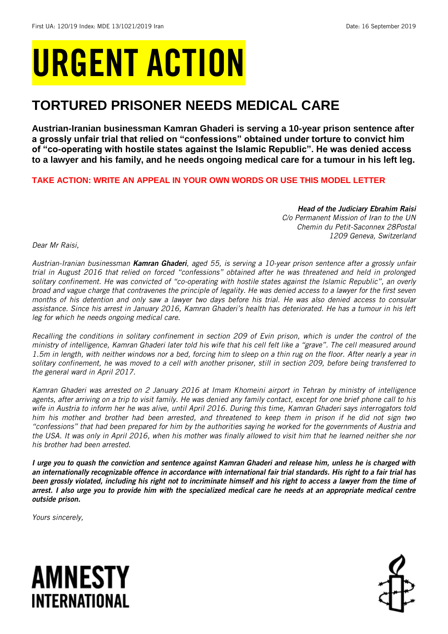# URGENT ACTION

## **TORTURED PRISONER NEEDS MEDICAL CARE**

**Austrian-Iranian businessman Kamran Ghaderi is serving a 10-year prison sentence after a grossly unfair trial that relied on "confessions" obtained under torture to convict him of "co-operating with hostile states against the Islamic Republic". He was denied access to a lawyer and his family, and he needs ongoing medical care for a tumour in his left leg.**

## **TAKE ACTION: WRITE AN APPEAL IN YOUR OWN WORDS OR USE THIS MODEL LETTER**

*Head of the Judiciary Ebrahim Raisi C/o Permanent Mission of Iran to the UN Chemin du Petit-Saconnex 28Postal 1209 Geneva, Switzerland* 

*Dear Mr Raisi,*

*Austrian-Iranian businessman Kamran Ghaderi, aged 55, is serving a 10-year prison sentence after a grossly unfair trial in August 2016 that relied on forced "confessions" obtained after he was threatened and held in prolonged solitary confinement. He was convicted of "co-operating with hostile states against the Islamic Republic", an overly broad and vague charge that contravenes the principle of legality. He was denied access to a lawyer for the first seven months of his detention and only saw a lawyer two days before his trial. He was also denied access to consular assistance. Since his arrest in January 2016, Kamran Ghaderi's health has deteriorated. He has a tumour in his left leg for which he needs ongoing medical care.*

*Recalling the conditions in solitary confinement in section 209 of Evin prison, which is under the control of the ministry of intelligence, Kamran Ghaderi later told his wife that his cell felt like a "grave". The cell measured around 1.5m in length, with neither windows nor a bed, forcing him to sleep on a thin rug on the floor. After nearly a year in solitary confinement, he was moved to a cell with another prisoner, still in section 209, before being transferred to the general ward in April 2017.*

*Kamran Ghaderi was arrested on 2 January 2016 at Imam Khomeini airport in Tehran by ministry of intelligence agents, after arriving on a trip to visit family. He was denied any family contact, except for one brief phone call to his wife in Austria to inform her he was alive, until April 2016. During this time, Kamran Ghaderi says interrogators told him his mother and brother had been arrested, and threatened to keep them in prison if he did not sign two "confessions" that had been prepared for him by the authorities saying he worked for the governments of Austria and the USA. It was only in April 2016, when his mother was finally allowed to visit him that he learned neither she nor his brother had been arrested.* 

*I urge you to quash the conviction and sentence against Kamran Ghaderi and release him, unless he is charged with an internationally recognizable offence in accordance with international fair trial standards. His right to a fair trial has been grossly violated, including his right not to incriminate himself and his right to access a lawyer from the time of arrest. I also urge you to provide him with the specialized medical care he needs at an appropriate medical centre outside prison.*

*Yours sincerely,*